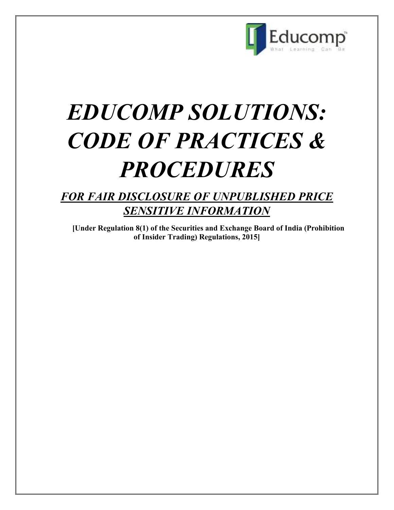

# *EDUCOMP SOLUTIONS: CODE OF PRACTICES & PROCEDURES*

## *FOR FAIR DISCLOSURE OF UNPUBLISHED PRICE SENSITIVE INFORMATION*

**[Under Regulation 8(1) of the Securities and Exchange Board of India (Prohibition of Insider Trading) Regulations, 2015]**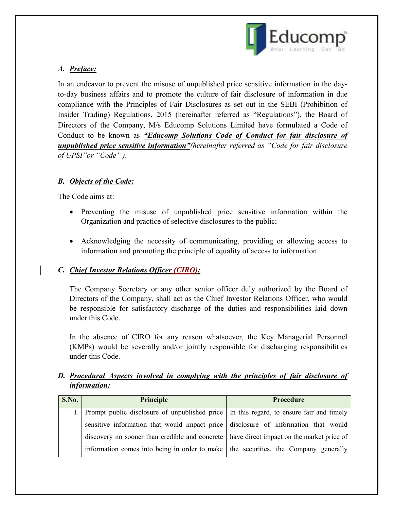

### *A. Preface:*

In an endeavor to prevent the misuse of unpublished price sensitive information in the dayto-day business affairs and to promote the culture of fair disclosure of information in due compliance with the Principles of Fair Disclosures as set out in the SEBI (Prohibition of Insider Trading) Regulations, 2015 (hereinafter referred as "Regulations"), the Board of Directors of the Company, M/s Educomp Solutions Limited have formulated a Code of Conduct to be known as *"Educomp Solutions Code of Conduct for fair disclosure of unpublished price sensitive information"(hereinafter referred as "Code for fair disclosure of UPSI"or "Code" )*.

#### *B. Objects of the Code:*

The Code aims at:

- Preventing the misuse of unpublished price sensitive information within the Organization and practice of selective disclosures to the public;
- Acknowledging the necessity of communicating, providing or allowing access to information and promoting the principle of equality of access to information.

#### *C. Chief Investor Relations Officer (CIRO):*

The Company Secretary or any other senior officer duly authorized by the Board of Directors of the Company, shall act as the Chief Investor Relations Officer, who would be responsible for satisfactory discharge of the duties and responsibilities laid down under this Code.

In the absence of CIRO for any reason whatsoever, the Key Managerial Personnel (KMPs) would be severally and/or jointly responsible for discharging responsibilities under this Code.

#### **D.** Procedural Aspects involved in complying with the principles of fair disclosure of *information:*

| S.No. | Principle                                                                                  | <b>Procedure</b> |
|-------|--------------------------------------------------------------------------------------------|------------------|
|       | 1. Prompt public disclosure of unpublished price In this regard, to ensure fair and timely |                  |
|       | sensitive information that would impact price disclosure of information that would         |                  |
|       | discovery no sooner than credible and concrete   have direct impact on the market price of |                  |
|       | information comes into being in order to make   the securities, the Company generally      |                  |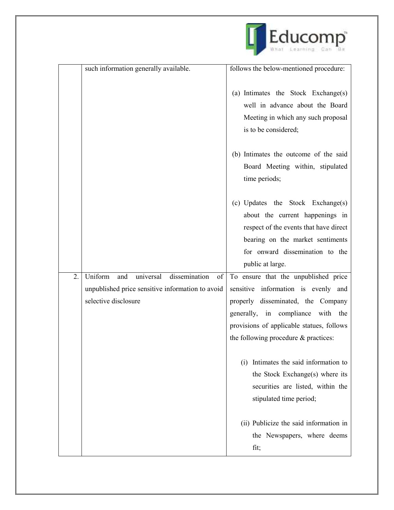

|    | such information generally available.                                    | follows the below-mentioned procedure:                                                                                                                                                                    |
|----|--------------------------------------------------------------------------|-----------------------------------------------------------------------------------------------------------------------------------------------------------------------------------------------------------|
|    |                                                                          | (a) Intimates the Stock Exchange(s)<br>well in advance about the Board<br>Meeting in which any such proposal<br>is to be considered;                                                                      |
|    |                                                                          | (b) Intimates the outcome of the said<br>Board Meeting within, stipulated<br>time periods;                                                                                                                |
|    |                                                                          | (c) Updates the Stock Exchange(s)<br>about the current happenings in<br>respect of the events that have direct<br>bearing on the market sentiments<br>for onward dissemination to the<br>public at large. |
| 2. | Uniform<br>dissemination<br>universal<br>and<br>of                       | To ensure that the unpublished price                                                                                                                                                                      |
|    | unpublished price sensitive information to avoid<br>selective disclosure | sensitive information is evenly and<br>properly disseminated, the Company<br>generally, in compliance with the<br>provisions of applicable statues, follows<br>the following procedure & practices:       |
|    |                                                                          | Intimates the said information to<br>(i)<br>the Stock Exchange(s) where its<br>securities are listed, within the<br>stipulated time period;                                                               |
|    |                                                                          | (ii) Publicize the said information in<br>the Newspapers, where deems<br>fit;                                                                                                                             |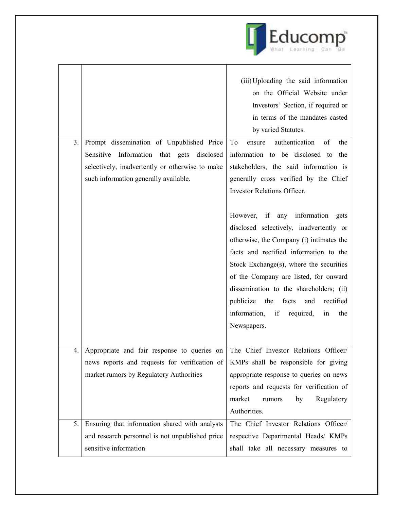

| on the Official Website under<br>Investors' Section, if required or<br>in terms of the mandates casted<br>by varied Statutes.<br>authentication<br>Prompt dissemination of Unpublished Price<br>of<br>3.<br>To<br>ensure<br>the<br>Sensitive Information that gets disclosed<br>information to be disclosed to the<br>selectively, inadvertently or otherwise to make<br>stakeholders, the said information is<br>generally cross verified by the Chief<br>such information generally available.<br><b>Investor Relations Officer.</b><br>However, if any information gets<br>disclosed selectively, inadvertently or<br>otherwise, the Company (i) intimates the<br>facts and rectified information to the<br>Stock Exchange(s), where the securities<br>of the Company are listed, for onward<br>dissemination to the shareholders; (ii)<br>publicize<br>the facts<br>rectified<br>and<br>information, if<br>required,<br>in<br>the<br>Newspapers.<br>The Chief Investor Relations Officer/<br>4.<br>Appropriate and fair response to queries on<br>KMPs shall be responsible for giving<br>news reports and requests for verification of<br>market rumors by Regulatory Authorities<br>appropriate response to queries on news<br>reports and requests for verification of<br>market<br>Regulatory<br>rumors<br>by<br>Authorities.<br>Ensuring that information shared with analysts<br>The Chief Investor Relations Officer/<br>5.<br>and research personnel is not unpublished price<br>respective Departmental Heads/ KMPs |                       | (iii) Uploading the said information |
|----------------------------------------------------------------------------------------------------------------------------------------------------------------------------------------------------------------------------------------------------------------------------------------------------------------------------------------------------------------------------------------------------------------------------------------------------------------------------------------------------------------------------------------------------------------------------------------------------------------------------------------------------------------------------------------------------------------------------------------------------------------------------------------------------------------------------------------------------------------------------------------------------------------------------------------------------------------------------------------------------------------------------------------------------------------------------------------------------------------------------------------------------------------------------------------------------------------------------------------------------------------------------------------------------------------------------------------------------------------------------------------------------------------------------------------------------------------------------------------------------------------------------------|-----------------------|--------------------------------------|
|                                                                                                                                                                                                                                                                                                                                                                                                                                                                                                                                                                                                                                                                                                                                                                                                                                                                                                                                                                                                                                                                                                                                                                                                                                                                                                                                                                                                                                                                                                                                  |                       |                                      |
|                                                                                                                                                                                                                                                                                                                                                                                                                                                                                                                                                                                                                                                                                                                                                                                                                                                                                                                                                                                                                                                                                                                                                                                                                                                                                                                                                                                                                                                                                                                                  |                       |                                      |
|                                                                                                                                                                                                                                                                                                                                                                                                                                                                                                                                                                                                                                                                                                                                                                                                                                                                                                                                                                                                                                                                                                                                                                                                                                                                                                                                                                                                                                                                                                                                  |                       |                                      |
|                                                                                                                                                                                                                                                                                                                                                                                                                                                                                                                                                                                                                                                                                                                                                                                                                                                                                                                                                                                                                                                                                                                                                                                                                                                                                                                                                                                                                                                                                                                                  |                       |                                      |
|                                                                                                                                                                                                                                                                                                                                                                                                                                                                                                                                                                                                                                                                                                                                                                                                                                                                                                                                                                                                                                                                                                                                                                                                                                                                                                                                                                                                                                                                                                                                  |                       |                                      |
|                                                                                                                                                                                                                                                                                                                                                                                                                                                                                                                                                                                                                                                                                                                                                                                                                                                                                                                                                                                                                                                                                                                                                                                                                                                                                                                                                                                                                                                                                                                                  |                       |                                      |
|                                                                                                                                                                                                                                                                                                                                                                                                                                                                                                                                                                                                                                                                                                                                                                                                                                                                                                                                                                                                                                                                                                                                                                                                                                                                                                                                                                                                                                                                                                                                  |                       |                                      |
|                                                                                                                                                                                                                                                                                                                                                                                                                                                                                                                                                                                                                                                                                                                                                                                                                                                                                                                                                                                                                                                                                                                                                                                                                                                                                                                                                                                                                                                                                                                                  |                       |                                      |
|                                                                                                                                                                                                                                                                                                                                                                                                                                                                                                                                                                                                                                                                                                                                                                                                                                                                                                                                                                                                                                                                                                                                                                                                                                                                                                                                                                                                                                                                                                                                  |                       |                                      |
|                                                                                                                                                                                                                                                                                                                                                                                                                                                                                                                                                                                                                                                                                                                                                                                                                                                                                                                                                                                                                                                                                                                                                                                                                                                                                                                                                                                                                                                                                                                                  |                       |                                      |
|                                                                                                                                                                                                                                                                                                                                                                                                                                                                                                                                                                                                                                                                                                                                                                                                                                                                                                                                                                                                                                                                                                                                                                                                                                                                                                                                                                                                                                                                                                                                  |                       |                                      |
|                                                                                                                                                                                                                                                                                                                                                                                                                                                                                                                                                                                                                                                                                                                                                                                                                                                                                                                                                                                                                                                                                                                                                                                                                                                                                                                                                                                                                                                                                                                                  |                       |                                      |
|                                                                                                                                                                                                                                                                                                                                                                                                                                                                                                                                                                                                                                                                                                                                                                                                                                                                                                                                                                                                                                                                                                                                                                                                                                                                                                                                                                                                                                                                                                                                  |                       |                                      |
|                                                                                                                                                                                                                                                                                                                                                                                                                                                                                                                                                                                                                                                                                                                                                                                                                                                                                                                                                                                                                                                                                                                                                                                                                                                                                                                                                                                                                                                                                                                                  |                       |                                      |
|                                                                                                                                                                                                                                                                                                                                                                                                                                                                                                                                                                                                                                                                                                                                                                                                                                                                                                                                                                                                                                                                                                                                                                                                                                                                                                                                                                                                                                                                                                                                  |                       |                                      |
|                                                                                                                                                                                                                                                                                                                                                                                                                                                                                                                                                                                                                                                                                                                                                                                                                                                                                                                                                                                                                                                                                                                                                                                                                                                                                                                                                                                                                                                                                                                                  |                       |                                      |
|                                                                                                                                                                                                                                                                                                                                                                                                                                                                                                                                                                                                                                                                                                                                                                                                                                                                                                                                                                                                                                                                                                                                                                                                                                                                                                                                                                                                                                                                                                                                  |                       |                                      |
|                                                                                                                                                                                                                                                                                                                                                                                                                                                                                                                                                                                                                                                                                                                                                                                                                                                                                                                                                                                                                                                                                                                                                                                                                                                                                                                                                                                                                                                                                                                                  |                       |                                      |
|                                                                                                                                                                                                                                                                                                                                                                                                                                                                                                                                                                                                                                                                                                                                                                                                                                                                                                                                                                                                                                                                                                                                                                                                                                                                                                                                                                                                                                                                                                                                  |                       |                                      |
|                                                                                                                                                                                                                                                                                                                                                                                                                                                                                                                                                                                                                                                                                                                                                                                                                                                                                                                                                                                                                                                                                                                                                                                                                                                                                                                                                                                                                                                                                                                                  |                       |                                      |
|                                                                                                                                                                                                                                                                                                                                                                                                                                                                                                                                                                                                                                                                                                                                                                                                                                                                                                                                                                                                                                                                                                                                                                                                                                                                                                                                                                                                                                                                                                                                  |                       |                                      |
|                                                                                                                                                                                                                                                                                                                                                                                                                                                                                                                                                                                                                                                                                                                                                                                                                                                                                                                                                                                                                                                                                                                                                                                                                                                                                                                                                                                                                                                                                                                                  |                       |                                      |
|                                                                                                                                                                                                                                                                                                                                                                                                                                                                                                                                                                                                                                                                                                                                                                                                                                                                                                                                                                                                                                                                                                                                                                                                                                                                                                                                                                                                                                                                                                                                  |                       |                                      |
|                                                                                                                                                                                                                                                                                                                                                                                                                                                                                                                                                                                                                                                                                                                                                                                                                                                                                                                                                                                                                                                                                                                                                                                                                                                                                                                                                                                                                                                                                                                                  |                       |                                      |
|                                                                                                                                                                                                                                                                                                                                                                                                                                                                                                                                                                                                                                                                                                                                                                                                                                                                                                                                                                                                                                                                                                                                                                                                                                                                                                                                                                                                                                                                                                                                  |                       |                                      |
|                                                                                                                                                                                                                                                                                                                                                                                                                                                                                                                                                                                                                                                                                                                                                                                                                                                                                                                                                                                                                                                                                                                                                                                                                                                                                                                                                                                                                                                                                                                                  |                       |                                      |
|                                                                                                                                                                                                                                                                                                                                                                                                                                                                                                                                                                                                                                                                                                                                                                                                                                                                                                                                                                                                                                                                                                                                                                                                                                                                                                                                                                                                                                                                                                                                  |                       |                                      |
|                                                                                                                                                                                                                                                                                                                                                                                                                                                                                                                                                                                                                                                                                                                                                                                                                                                                                                                                                                                                                                                                                                                                                                                                                                                                                                                                                                                                                                                                                                                                  |                       |                                      |
|                                                                                                                                                                                                                                                                                                                                                                                                                                                                                                                                                                                                                                                                                                                                                                                                                                                                                                                                                                                                                                                                                                                                                                                                                                                                                                                                                                                                                                                                                                                                  |                       |                                      |
|                                                                                                                                                                                                                                                                                                                                                                                                                                                                                                                                                                                                                                                                                                                                                                                                                                                                                                                                                                                                                                                                                                                                                                                                                                                                                                                                                                                                                                                                                                                                  | sensitive information | shall take all necessary measures to |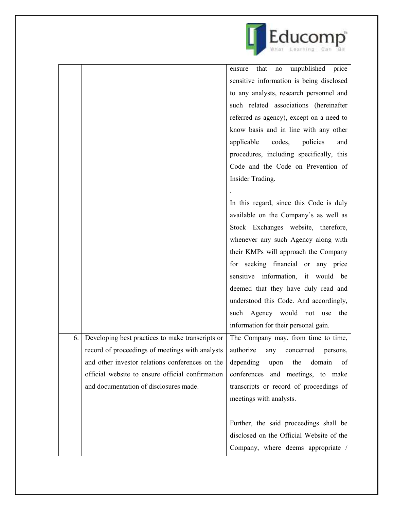

|    |                                                                                    | unpublished<br>that<br>price<br>ensure<br>$\rm no$ |
|----|------------------------------------------------------------------------------------|----------------------------------------------------|
|    |                                                                                    | sensitive information is being disclosed           |
|    |                                                                                    | to any analysts, research personnel and            |
|    |                                                                                    | such related associations (hereinafter             |
|    |                                                                                    | referred as agency), except on a need to           |
|    |                                                                                    | know basis and in line with any other              |
|    |                                                                                    | applicable<br>codes,<br>policies<br>and            |
|    |                                                                                    | procedures, including specifically, this           |
|    |                                                                                    | Code and the Code on Prevention of                 |
|    |                                                                                    | Insider Trading.                                   |
|    |                                                                                    |                                                    |
|    |                                                                                    | In this regard, since this Code is duly            |
|    |                                                                                    | available on the Company's as well as              |
|    |                                                                                    | Stock Exchanges website, therefore,                |
|    |                                                                                    | whenever any such Agency along with                |
|    |                                                                                    | their KMPs will approach the Company               |
|    |                                                                                    | for seeking financial or any price                 |
|    |                                                                                    | sensitive information, it would be                 |
|    |                                                                                    | deemed that they have duly read and                |
|    |                                                                                    | understood this Code. And accordingly,             |
|    |                                                                                    | such Agency would not use<br>the                   |
|    |                                                                                    | information for their personal gain.               |
| 6. | Developing best practices to make transcripts or                                   | The Company may, from time to time,                |
|    | record of proceedings of meetings with analysts   authorize any concerned persons, |                                                    |
|    | and other investor relations conferences on the                                    | depending<br>domain<br>upon<br>the<br>of           |
|    | official website to ensure official confirmation                                   | conferences and meetings, to make                  |
|    | and documentation of disclosures made.                                             | transcripts or record of proceedings of            |
|    |                                                                                    | meetings with analysts.                            |
|    |                                                                                    |                                                    |
|    |                                                                                    | Further, the said proceedings shall be             |
|    |                                                                                    | disclosed on the Official Website of the           |
|    |                                                                                    | Company, where deems appropriate /                 |